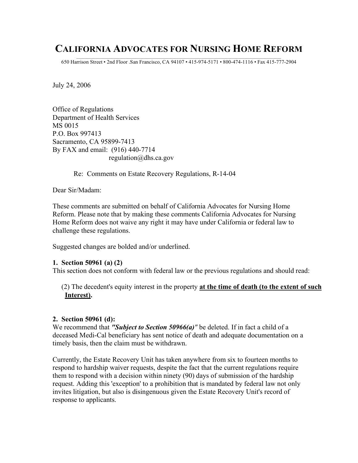# **CALIFORNIA ADVOCATES FOR NURSING HOME REFORM**

 $\mathcal{L}_\text{max}$ 650 Harrison Street • 2nd Floor .San Francisco, CA 94107 • 415-974-5171 • 800-474-1116 • Fax 415-777-2904

July 24, 2006

Office of Regulations Department of Health Services MS 0015 P.O. Box 997413 Sacramento, CA 95899-7413 By FAX and email: (916) 440-7714 regulation@dhs.ca.gov

Re: Comments on Estate Recovery Regulations, R-14-04

Dear Sir/Madam:

These comments are submitted on behalf of California Advocates for Nursing Home Reform. Please note that by making these comments California Advocates for Nursing Home Reform does not waive any right it may have under California or federal law to challenge these regulations.

Suggested changes are bolded and/or underlined.

### **1. Section 50961 (a) (2)**

This section does not conform with federal law or the previous regulations and should read:

(2) The decedent's equity interest in the property **at the time of death (to the extent of such Interest).**

### **2. Section 50961 (d):**

We recommend that *"Subject to Section 50966(a)"* be deleted. If in fact a child of a deceased Medi-Cal beneficiary has sent notice of death and adequate documentation on a timely basis, then the claim must be withdrawn.

Currently, the Estate Recovery Unit has taken anywhere from six to fourteen months to respond to hardship waiver requests, despite the fact that the current regulations require them to respond with a decision within ninety (90) days of submission of the hardship request. Adding this 'exception' to a prohibition that is mandated by federal law not only invites litigation, but also is disingenuous given the Estate Recovery Unit's record of response to applicants.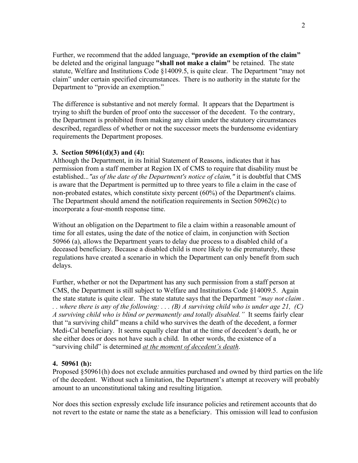Further, we recommend that the added language, **"provide an exemption of the claim"** be deleted and the original language **"shall not make a claim"** be retained. The state statute, Welfare and Institutions Code §14009.5, is quite clear. The Department "may not claim" under certain specified circumstances. There is no authority in the statute for the Department to "provide an exemption."

The difference is substantive and not merely formal. It appears that the Department is trying to shift the burden of proof onto the successor of the decedent. To the contrary, the Department is prohibited from making any claim under the statutory circumstances described, regardless of whether or not the successor meets the burdensome evidentiary requirements the Department proposes.

#### **3. Section 50961(d)(3) and (4):**

Although the Department, in its Initial Statement of Reasons, indicates that it has permission from a staff member at Region IX of CMS to require that disability must be established..*."as of the date of the Department's notice of claim,"* it is doubtful that CMS is aware that the Department is permitted up to three years to file a claim in the case of non-probated estates, which constitute sixty percent (60%) of the Department's claims. The Department should amend the notification requirements in Section 50962(c) to incorporate a four-month response time.

Without an obligation on the Department to file a claim within a reasonable amount of time for all estates, using the date of the notice of claim, in conjunction with Section 50966 (a), allows the Department years to delay due process to a disabled child of a deceased beneficiary. Because a disabled child is more likely to die prematurely, these regulations have created a scenario in which the Department can only benefit from such delays.

Further, whether or not the Department has any such permission from a staff person at CMS, the Department is still subject to Welfare and Institutions Code §14009.5. Again the state statute is quite clear. The state statute says that the Department *"may not claim .* .. where there is any of the following: ... (B) A surviving child who is under age 21, (C) *A surviving child who is blind or permanently and totally disabled."* It seems fairly clear that "a surviving child" means a child who survives the death of the decedent, a former Medi-Cal beneficiary. It seems equally clear that at the time of decedent's death, he or she either does or does not have such a child. In other words, the existence of a "surviving child" is determined *at the moment of decedent's death*.

### **4. 50961 (h):**

Proposed §50961(h) does not exclude annuities purchased and owned by third parties on the life of the decedent. Without such a limitation, the Department's attempt at recovery will probably amount to an unconstitutional taking and resulting litigation.

Nor does this section expressly exclude life insurance policies and retirement accounts that do not revert to the estate or name the state as a beneficiary. This omission will lead to confusion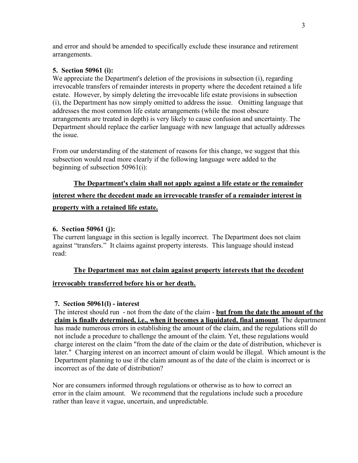and error and should be amended to specifically exclude these insurance and retirement arrangements.

### **5. Section 50961 (i):**

We appreciate the Department's deletion of the provisions in subsection (i), regarding irrevocable transfers of remainder interests in property where the decedent retained a life estate. However, by simply deleting the irrevocable life estate provisions in subsection (i), the Department has now simply omitted to address the issue. Omitting language that addresses the most common life estate arrangements (while the most obscure arrangements are treated in depth) is very likely to cause confusion and uncertainty. The Department should replace the earlier language with new language that actually addresses the issue.

From our understanding of the statement of reasons for this change, we suggest that this subsection would read more clearly if the following language were added to the beginning of subsection 50961(i):

# **The Department's claim shall not apply against a life estate or the remainder interest where the decedent made an irrevocable transfer of a remainder interest in property with a retained life estate.**

## **6. Section 50961 (j):**

The current language in this section is legally incorrect. The Department does not claim against "transfers." It claims against property interests. This language should instead read:

### **The Department may not claim against property interests that the decedent**

### **irrevocably transferred before his or her death.**

### **7. Section 50961(l) - interest**

The interest should run - not from the date of the claim - **but from the date the amount of the claim is finally determined, i.e., when it becomes a liquidated, final amount**. The department has made numerous errors in establishing the amount of the claim, and the regulations still do not include a procedure to challenge the amount of the claim. Yet, these regulations would charge interest on the claim "from the date of the claim or the date of distribution, whichever is later." Charging interest on an incorrect amount of claim would be illegal. Which amount is the Department planning to use if the claim amount as of the date of the claim is incorrect or is incorrect as of the date of distribution?

Nor are consumers informed through regulations or otherwise as to how to correct an error in the claim amount. We recommend that the regulations include such a procedure rather than leave it vague, uncertain, and unpredictable.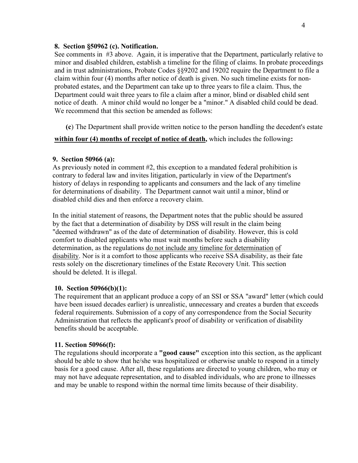#### **8. Section §50962 (c). Notification.**

See comments in #3 above. Again, it is imperative that the Department, particularly relative to minor and disabled children, establish a timeline for the filing of claims. In probate proceedings and in trust administrations, Probate Codes §§9202 and 19202 require the Department to file a claim within four (4) months after notice of death is given. No such timeline exists for nonprobated estates, and the Department can take up to three years to file a claim. Thus, the Department could wait three years to file a claim after a minor, blind or disabled child sent notice of death. A minor child would no longer be a "minor." A disabled child could be dead. We recommend that this section be amended as follows:

**(c**) The Department shall provide written notice to the person handling the decedent's estate

**within four (4) months of receipt of notice of death,** which includes the following**:**

## **9. Section 50966 (a):**

As previously noted in comment #2, this exception to a mandated federal prohibition is contrary to federal law and invites litigation, particularly in view of the Department's history of delays in responding to applicants and consumers and the lack of any timeline for determinations of disability. The Department cannot wait until a minor, blind or disabled child dies and then enforce a recovery claim.

In the initial statement of reasons, the Department notes that the public should be assured by the fact that a determination of disability by DSS will result in the claim being "deemed withdrawn" as of the date of determination of disability. However, this is cold comfort to disabled applicants who must wait months before such a disability determination, as the regulations do not include any timeline for determination of disability. Nor is it a comfort to those applicants who receive SSA disability, as their fate rests solely on the discretionary timelines of the Estate Recovery Unit. This section should be deleted. It is illegal.

# **10. Section 50966(b)(1):**

The requirement that an applicant produce a copy of an SSI or SSA "award" letter (which could have been issued decades earlier) is unrealistic, unnecessary and creates a burden that exceeds federal requirements. Submission of a copy of any correspondence from the Social Security Administration that reflects the applicant's proof of disability or verification of disability benefits should be acceptable.

# **11. Section 50966(f):**

The regulations should incorporate a **"good cause"** exception into this section, as the applicant should be able to show that he/she was hospitalized or otherwise unable to respond in a timely basis for a good cause. After all, these regulations are directed to young children, who may or may not have adequate representation, and to disabled individuals, who are prone to illnesses and may be unable to respond within the normal time limits because of their disability.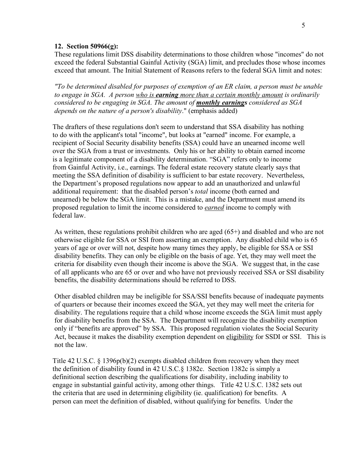#### **12. Section 50966(g):**

These regulations limit DSS disability determinations to those children whose "incomes" do not exceed the federal Substantial Gainful Activity (SGA) limit, and precludes those whose incomes exceed that amount. The Initial Statement of Reasons refers to the federal SGA limit and notes:

*"To be determined disabled for purposes of exemption of an ER claim, a person must be unable to engage in SGA. A person who is earning more than a certain monthly amount is ordinarily considered to be engaging in SGA. The amount of monthly earnings considered as SGA depends on the nature of a person's disability*." (emphasis added)

The drafters of these regulations don't seem to understand that SSA disability has nothing to do with the applicant's total "income", but looks at "earned" income. For example, a recipient of Social Security disability benefits (SSA) could have an unearned income well over the SGA from a trust or investments. Only his or her ability to obtain earned income is a legitimate component of a disability determination. "SGA" refers only to income from Gainful Activity, i.e., earnings. The federal estate recovery statute clearly says that meeting the SSA definition of disability is sufficient to bar estate recovery. Nevertheless, the Department's proposed regulations now appear to add an unauthorized and unlawful additional requirement: that the disabled person's *total* income (both earned and unearned) be below the SGA limit. This is a mistake, and the Department must amend its proposed regulation to limit the income considered to *earned* income to comply with federal law.

As written, these regulations prohibit children who are aged (65+) and disabled and who are not otherwise eligible for SSA or SSI from asserting an exemption. Any disabled child who is 65 years of age or over will not, despite how many times they apply, be eligible for SSA or SSI disability benefits. They can only be eligible on the basis of age. Yet, they may well meet the criteria for disability even though their income is above the SGA. We suggest that, in the case of all applicants who are 65 or over and who have not previously received SSA or SSI disability benefits, the disability determinations should be referred to DSS.

Other disabled children may be ineligible for SSA/SSI benefits because of inadequate payments of quarters or because their incomes exceed the SGA, yet they may well meet the criteria for disability. The regulations require that a child whose income exceeds the SGA limit must apply for disability benefits from the SSA. The Department will recognize the disability exemption only if "benefits are approved" by SSA. This proposed regulation violates the Social Security Act, because it makes the disability exemption dependent on eligibility for SSDI or SSI. This is not the law.

Title 42 U.S.C. § 1396p(b)(2) exempts disabled children from recovery when they meet the definition of disability found in 42 U.S.C.§ 1382c. Section 1382c is simply a definitional section describing the qualifications for disability, including inability to engage in substantial gainful activity, among other things. Title 42 U.S.C. 1382 sets out the criteria that are used in determining eligibility (ie. qualification) for benefits. A person can meet the definition of disabled, without qualifying for benefits. Under the